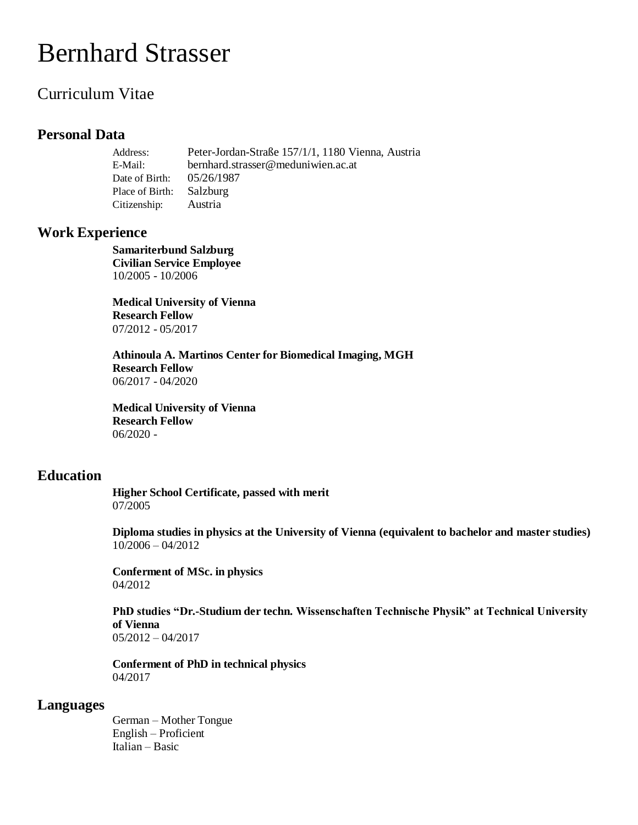# Bernhard Strasser

### Curriculum Vitae

#### **Personal Data**

Address: Peter-Jordan-Straße 157/1/1, 1180 Vienna, Austria E-Mail: bernhard.strasser@meduniwien.ac.at Date of Birth: 05/26/1987 Place of Birth: Salzburg Citizenship: Austria

#### **Work Experience**

**Samariterbund Salzburg Civilian Service Employee** 10/2005 - 10/2006

**Medical University of Vienna Research Fellow** 07/2012 - 05/2017

**Athinoula A. Martinos Center for Biomedical Imaging, MGH Research Fellow** 06/2017 - 04/2020

**Medical University of Vienna Research Fellow** 06/2020 -

#### **Education**

**Higher School Certificate, passed with merit** 07/2005

**Diploma studies in physics at the University of Vienna (equivalent to bachelor and master studies)** 10/2006 – 04/2012

**Conferment of MSc. in physics** 04/2012

**PhD studies "Dr.-Studium der techn. Wissenschaften Technische Physik" at Technical University of Vienna** 05/2012 – 04/2017

**Conferment of PhD in technical physics** 04/2017

#### **Languages**

German – Mother Tongue English – Proficient Italian – Basic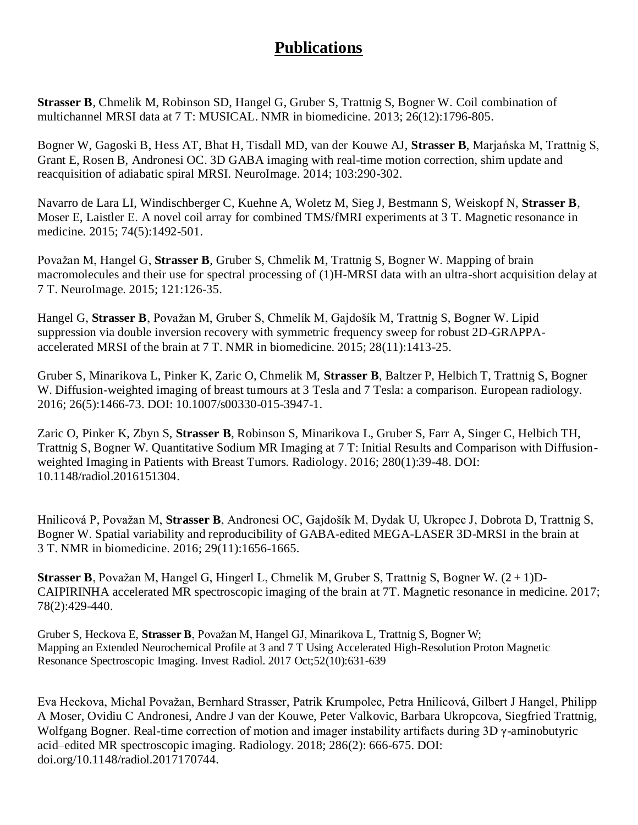## **Publications**

**Strasser B**, Chmelik M, Robinson SD, Hangel G, Gruber S, Trattnig S, Bogner W. Coil combination of multichannel MRSI data at 7 T: MUSICAL. NMR in biomedicine. 2013; 26(12):1796-805.

Bogner W, Gagoski B, Hess AT, Bhat H, Tisdall MD, van der Kouwe AJ, **Strasser B**, Marjańska M, Trattnig S, Grant E, Rosen B, Andronesi OC. 3D GABA imaging with real-time motion correction, shim update and reacquisition of adiabatic spiral MRSI. NeuroImage. 2014; 103:290-302.

Navarro de Lara LI, Windischberger C, Kuehne A, Woletz M, Sieg J, Bestmann S, Weiskopf N, **Strasser B**, Moser E, Laistler E. A novel coil array for combined TMS/fMRI experiments at 3 T. Magnetic resonance in medicine. 2015; 74(5):1492-501.

Považan M, Hangel G, **Strasser B**, Gruber S, Chmelik M, Trattnig S, Bogner W. Mapping of brain macromolecules and their use for spectral processing of (1)H-MRSI data with an ultra-short acquisition delay at 7 T. NeuroImage. 2015; 121:126-35.

Hangel G, **Strasser B**, Považan M, Gruber S, Chmelík M, Gajdošík M, Trattnig S, Bogner W. Lipid suppression via double inversion recovery with symmetric frequency sweep for robust 2D-GRAPPAaccelerated MRSI of the brain at 7 T. NMR in biomedicine. 2015; 28(11):1413-25.

Gruber S, Minarikova L, Pinker K, Zaric O, Chmelik M, **Strasser B**, Baltzer P, Helbich T, Trattnig S, Bogner W. Diffusion-weighted imaging of breast tumours at 3 Tesla and 7 Tesla: a comparison. European radiology. 2016; 26(5):1466-73. DOI: 10.1007/s00330-015-3947-1.

Zaric O, Pinker K, Zbyn S, **Strasser B**, Robinson S, Minarikova L, Gruber S, Farr A, Singer C, Helbich TH, Trattnig S, Bogner W. Quantitative Sodium MR Imaging at 7 T: Initial Results and Comparison with Diffusionweighted Imaging in Patients with Breast Tumors. Radiology. 2016; 280(1):39-48. DOI: 10.1148/radiol.2016151304.

Hnilicová P, Považan M, **Strasser B**, Andronesi OC, Gajdošík M, Dydak U, Ukropec J, Dobrota D, Trattnig S, Bogner W. Spatial variability and reproducibility of GABA-edited MEGA-LASER 3D-MRSI in the brain at 3 T. NMR in biomedicine. 2016; 29(11):1656-1665.

**Strasser B**, Považan M, Hangel G, Hingerl L, Chmelik M, Gruber S, Trattnig S, Bogner W. (2 + 1)D-CAIPIRINHA accelerated MR spectroscopic imaging of the brain at 7T. Magnetic resonance in medicine. 2017; 78(2):429-440.

Gruber S, Heckova E, **Strasser B**, Považan M, Hangel GJ, Minarikova L, Trattnig S, Bogner W; Mapping an Extended Neurochemical Profile at 3 and 7 T Using Accelerated High-Resolution Proton Magnetic Resonance Spectroscopic Imaging. Invest Radiol. 2017 Oct;52(10):631-639

Eva Heckova, Michal Považan, Bernhard Strasser, Patrik Krumpolec, Petra Hnilicová, Gilbert J Hangel, Philipp A Moser, Ovidiu C Andronesi, Andre J van der Kouwe, Peter Valkovic, Barbara Ukropcova, Siegfried Trattnig, Wolfgang Bogner. Real-time correction of motion and imager instability artifacts during 3D γ-aminobutyric acid–edited MR spectroscopic imaging. Radiology. 2018; 286(2): 666-675. DOI: doi.org/10.1148/radiol.2017170744.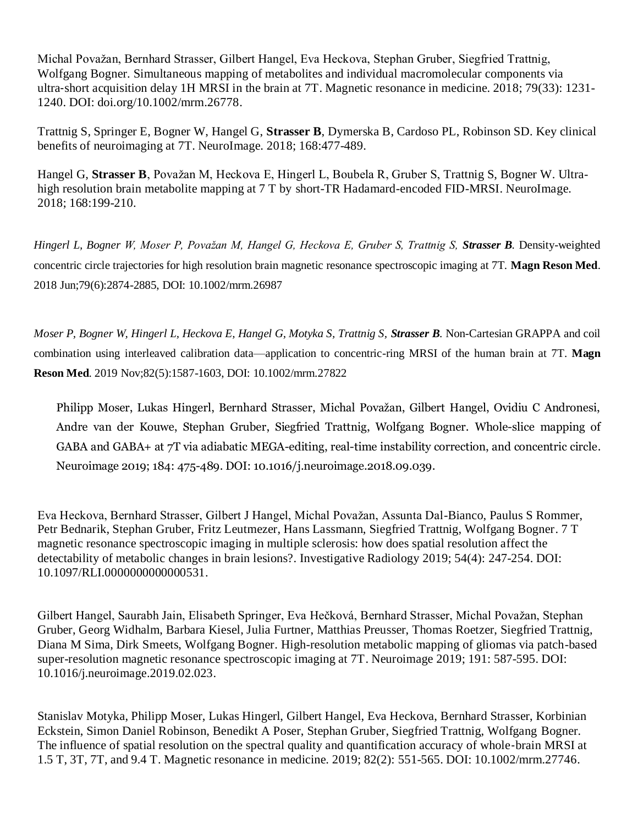Michal Považan, Bernhard Strasser, Gilbert Hangel, Eva Heckova, Stephan Gruber, Siegfried Trattnig, Wolfgang Bogner. Simultaneous mapping of metabolites and individual macromolecular components via ultra‐short acquisition delay 1H MRSI in the brain at 7T. Magnetic resonance in medicine. 2018; 79(33): 1231- 1240. DOI: doi.org/10.1002/mrm.26778.

Trattnig S, Springer E, Bogner W, Hangel G, **Strasser B**, Dymerska B, Cardoso PL, Robinson SD. Key clinical benefits of neuroimaging at 7T. NeuroImage. 2018; 168:477-489.

Hangel G, **Strasser B**, Považan M, Heckova E, Hingerl L, Boubela R, Gruber S, Trattnig S, Bogner W. Ultrahigh resolution brain metabolite mapping at 7 T by short-TR Hadamard-encoded FID-MRSI. NeuroImage. 2018; 168:199-210.

*Hingerl L, Bogner W, Moser P, Považan M, Hangel G, Heckova E, Gruber S, Trattnig S, Strasser B.* Density-weighted concentric circle trajectories for high resolution brain magnetic resonance spectroscopic imaging at 7T. **Magn Reson Med**. 2018 Jun;79(6):2874-2885, DOI: 10.1002/mrm.26987

*Moser P, Bogner W, Hingerl L, Heckova E, Hangel G, Motyka S, Trattnig S, Strasser B.* Non-Cartesian GRAPPA and coil combination using interleaved calibration data—application to concentric-ring MRSI of the human brain at 7T. **Magn Reson Med**. 2019 Nov;82(5):1587-1603, DOI: 10.1002/mrm.27822

Philipp Moser, Lukas Hingerl, Bernhard Strasser, Michal Považan, Gilbert Hangel, Ovidiu C Andronesi, Andre van der Kouwe, Stephan Gruber, Siegfried Trattnig, Wolfgang Bogner. Whole-slice mapping of GABA and GABA+ at 7T via adiabatic MEGA-editing, real-time instability correction, and concentric circle. Neuroimage 2019; 184: 475-489. DOI: 10.1016/j.neuroimage.2018.09.039.

Eva Heckova, Bernhard Strasser, Gilbert J Hangel, Michal Považan, Assunta Dal-Bianco, Paulus S Rommer, Petr Bednarik, Stephan Gruber, Fritz Leutmezer, Hans Lassmann, Siegfried Trattnig, Wolfgang Bogner. 7 T magnetic resonance spectroscopic imaging in multiple sclerosis: how does spatial resolution affect the detectability of metabolic changes in brain lesions?. Investigative Radiology 2019; 54(4): 247-254. DOI: 10.1097/RLI.0000000000000531.

Gilbert Hangel, Saurabh Jain, Elisabeth Springer, Eva Hečková, Bernhard Strasser, Michal Považan, Stephan Gruber, Georg Widhalm, Barbara Kiesel, Julia Furtner, Matthias Preusser, Thomas Roetzer, Siegfried Trattnig, Diana M Sima, Dirk Smeets, Wolfgang Bogner. High-resolution metabolic mapping of gliomas via patch-based super-resolution magnetic resonance spectroscopic imaging at 7T. Neuroimage 2019; 191: 587-595. DOI: 10.1016/j.neuroimage.2019.02.023.

Stanislav Motyka, Philipp Moser, Lukas Hingerl, Gilbert Hangel, Eva Heckova, Bernhard Strasser, Korbinian Eckstein, Simon Daniel Robinson, Benedikt A Poser, Stephan Gruber, Siegfried Trattnig, Wolfgang Bogner. The influence of spatial resolution on the spectral quality and quantification accuracy of whole-brain MRSI at 1.5 T, 3T, 7T, and 9.4 T. Magnetic resonance in medicine. 2019; 82(2): 551-565. DOI: 10.1002/mrm.27746.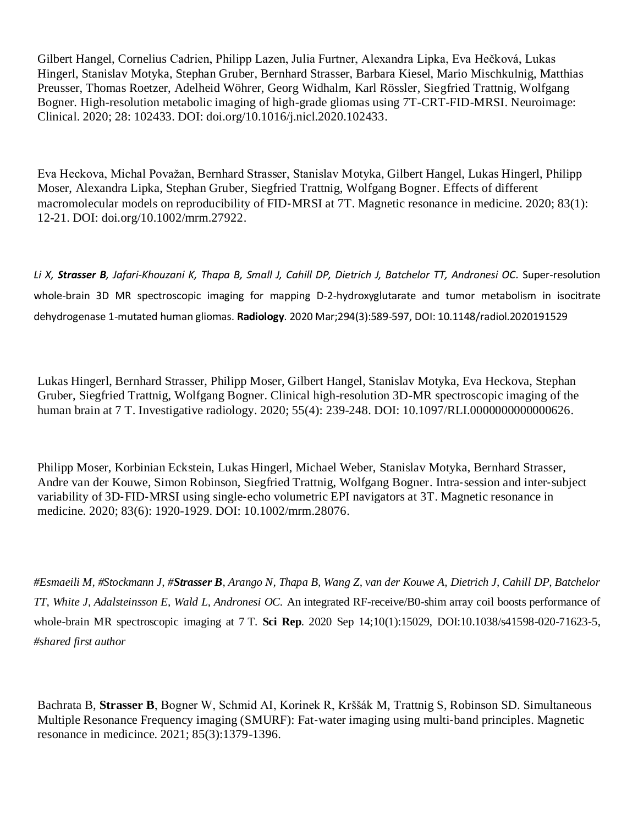Gilbert Hangel, Cornelius Cadrien, Philipp Lazen, Julia Furtner, Alexandra Lipka, Eva Hečková, Lukas Hingerl, Stanislav Motyka, Stephan Gruber, Bernhard Strasser, Barbara Kiesel, Mario Mischkulnig, Matthias Preusser, Thomas Roetzer, Adelheid Wöhrer, Georg Widhalm, Karl Rössler, Siegfried Trattnig, Wolfgang Bogner. High-resolution metabolic imaging of high-grade gliomas using 7T-CRT-FID-MRSI. Neuroimage: Clinical. 2020; 28: 102433. DOI: doi.org/10.1016/j.nicl.2020.102433.

Eva Heckova, Michal Považan, Bernhard Strasser, Stanislav Motyka, Gilbert Hangel, Lukas Hingerl, Philipp Moser, Alexandra Lipka, Stephan Gruber, Siegfried Trattnig, Wolfgang Bogner. Effects of different macromolecular models on reproducibility of FID-MRSI at 7T. Magnetic resonance in medicine. 2020; 83(1): 12-21. DOI: doi.org/10.1002/mrm.27922.

*Li X, Strasser B, Jafari-Khouzani K, Thapa B, Small J, Cahill DP, Dietrich J, Batchelor TT, Andronesi OC.* Super-resolution whole-brain 3D MR spectroscopic imaging for mapping D-2-hydroxyglutarate and tumor metabolism in isocitrate dehydrogenase 1-mutated human gliomas. **Radiology**. 2020 Mar;294(3):589-597, DOI: 10.1148/radiol.2020191529

Lukas Hingerl, Bernhard Strasser, Philipp Moser, Gilbert Hangel, Stanislav Motyka, Eva Heckova, Stephan Gruber, Siegfried Trattnig, Wolfgang Bogner. Clinical high-resolution 3D-MR spectroscopic imaging of the human brain at 7 T. Investigative radiology. 2020; 55(4): 239-248. DOI: 10.1097/RLI.0000000000000626.

Philipp Moser, Korbinian Eckstein, Lukas Hingerl, Michael Weber, Stanislav Motyka, Bernhard Strasser, Andre van der Kouwe, Simon Robinson, Siegfried Trattnig, Wolfgang Bogner. Intra‐session and inter‐subject variability of 3D‐FID‐MRSI using single‐echo volumetric EPI navigators at 3T. Magnetic resonance in medicine. 2020; 83(6): 1920-1929. DOI: 10.1002/mrm.28076.

*#Esmaeili M, #Stockmann J, #Strasser B, Arango N, Thapa B, Wang Z, van der Kouwe A, Dietrich J, Cahill DP, Batchelor TT, White J, Adalsteinsson E, Wald L, Andronesi OC.* An integrated RF-receive/B0-shim array coil boosts performance of whole-brain MR spectroscopic imaging at 7 T. **Sci Rep**. 2020 Sep 14;10(1):15029, DOI:10.1038/s41598-020-71623-5, *#shared first author*

Bachrata B, **Strasser B**, Bogner W, Schmid AI, Korinek R, Krššák M, Trattnig S, Robinson SD. Simultaneous Multiple Resonance Frequency imaging (SMURF): Fat-water imaging using multi-band principles. Magnetic resonance in medicince. 2021; 85(3):1379-1396.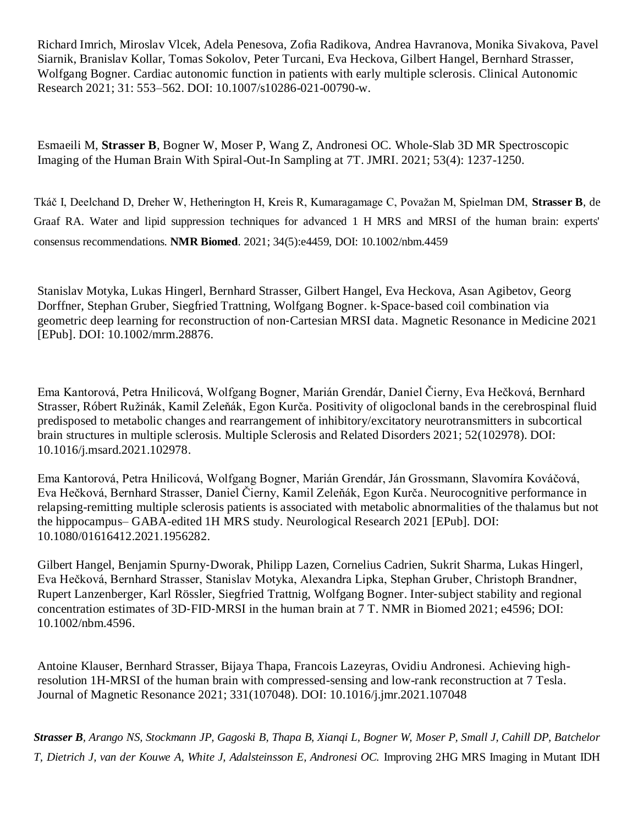Richard Imrich, Miroslav Vlcek, Adela Penesova, Zofia Radikova, Andrea Havranova, Monika Sivakova, Pavel Siarnik, Branislav Kollar, Tomas Sokolov, Peter Turcani, Eva Heckova, Gilbert Hangel, Bernhard Strasser, Wolfgang Bogner. Cardiac autonomic function in patients with early multiple sclerosis. Clinical Autonomic Research 2021; 31: 553–562. DOI: 10.1007/s10286-021-00790-w.

Esmaeili M, **Strasser B**, Bogner W, Moser P, Wang Z, Andronesi OC. Whole-Slab 3D MR Spectroscopic Imaging of the Human Brain With Spiral-Out-In Sampling at 7T. JMRI. 2021; 53(4): 1237-1250.

Tkáč I, Deelchand D, Dreher W, Hetherington H, Kreis R, Kumaragamage C, Považan M, Spielman DM, **Strasser B**, de Graaf RA. Water and lipid suppression techniques for advanced 1 H MRS and MRSI of the human brain: experts' consensus recommendations. **NMR Biomed**. 2021; 34(5):e4459, DOI: 10.1002/nbm.4459

Stanislav Motyka, Lukas Hingerl, Bernhard Strasser, Gilbert Hangel, Eva Heckova, Asan Agibetov, Georg Dorffner, Stephan Gruber, Siegfried Trattning, Wolfgang Bogner. k‐Space‐based coil combination via geometric deep learning for reconstruction of non‐Cartesian MRSI data. Magnetic Resonance in Medicine 2021 [EPub]. DOI: 10.1002/mrm.28876.

Ema Kantorová, Petra Hnilicová, Wolfgang Bogner, Marián Grendár, Daniel Čierny, Eva Hečková, Bernhard Strasser, Róbert Ružinák, Kamil Zeleňák, Egon Kurča. Positivity of oligoclonal bands in the cerebrospinal fluid predisposed to metabolic changes and rearrangement of inhibitory/excitatory neurotransmitters in subcortical brain structures in multiple sclerosis. Multiple Sclerosis and Related Disorders 2021; 52(102978). DOI: 10.1016/j.msard.2021.102978.

Ema Kantorová, Petra Hnilicová, Wolfgang Bogner, Marián Grendár, Ján Grossmann, Slavomíra Kováčová, Eva Hečková, Bernhard Strasser, Daniel Čierny, Kamil Zeleňák, Egon Kurča. Neurocognitive performance in relapsing-remitting multiple sclerosis patients is associated with metabolic abnormalities of the thalamus but not the hippocampus– GABA-edited 1H MRS study. Neurological Research 2021 [EPub]. DOI: 10.1080/01616412.2021.1956282.

Gilbert Hangel, Benjamin Spurny‐Dworak, Philipp Lazen, Cornelius Cadrien, Sukrit Sharma, Lukas Hingerl, Eva Hečková, Bernhard Strasser, Stanislav Motyka, Alexandra Lipka, Stephan Gruber, Christoph Brandner, Rupert Lanzenberger, Karl Rössler, Siegfried Trattnig, Wolfgang Bogner. Inter‐subject stability and regional concentration estimates of 3D‐FID‐MRSI in the human brain at 7 T. NMR in Biomed 2021; e4596; DOI: 10.1002/nbm.4596.

Antoine Klauser, Bernhard Strasser, Bijaya Thapa, Francois Lazeyras, Ovidiu Andronesi. Achieving highresolution 1H-MRSI of the human brain with compressed-sensing and low-rank reconstruction at 7 Tesla. Journal of Magnetic Resonance 2021; 331(107048). DOI: 10.1016/j.jmr.2021.107048

*Strasser B, Arango NS, Stockmann JP, Gagoski B, Thapa B, Xianqi L, Bogner W, Moser P, Small J, Cahill DP, Batchelor T, Dietrich J, van der Kouwe A, White J, Adalsteinsson E, Andronesi OC.* Improving 2HG MRS Imaging in Mutant IDH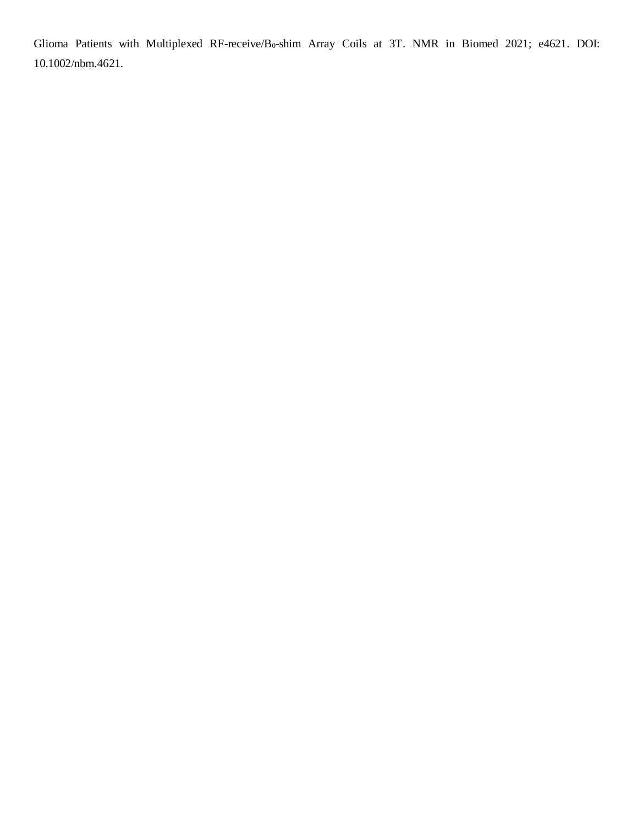Glioma Patients with Multiplexed RF-receive/B<sub>0</sub>-shim Array Coils at 3T. NMR in Biomed 2021; e4621. DOI: 10.1002/nbm.4621.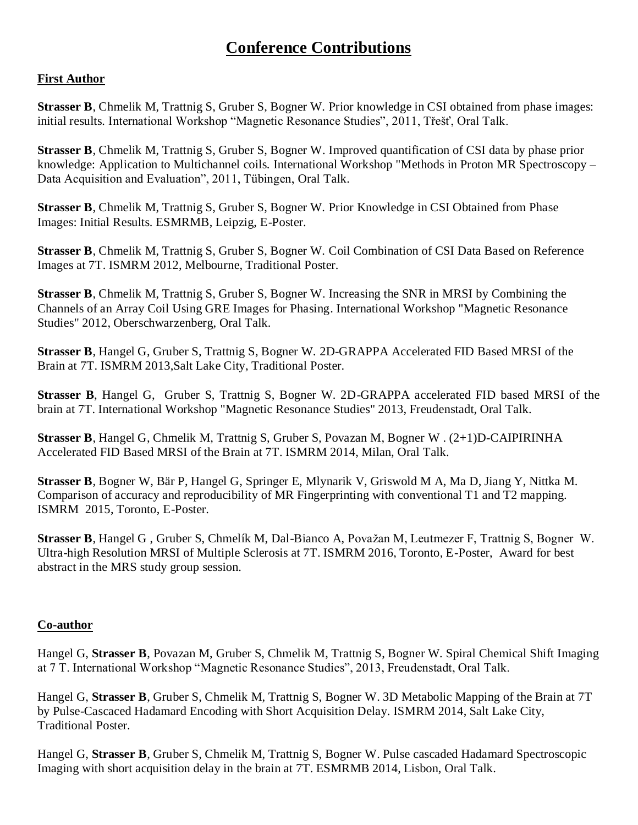## **Conference Contributions**

#### **First Author**

**Strasser B**, Chmelik M, Trattnig S, Gruber S, Bogner W. Prior knowledge in CSI obtained from phase images: initial results. International Workshop "Magnetic Resonance Studies", 2011, Třešť, Oral Talk.

**Strasser B**, Chmelik M, Trattnig S, Gruber S, Bogner W. Improved quantification of CSI data by phase prior knowledge: Application to Multichannel coils. International Workshop "Methods in Proton MR Spectroscopy – Data Acquisition and Evaluation", 2011, Tübingen, Oral Talk.

**Strasser B**, Chmelik M, Trattnig S, Gruber S, Bogner W. Prior Knowledge in CSI Obtained from Phase Images: Initial Results. ESMRMB, Leipzig, E-Poster.

**Strasser B**, Chmelik M, Trattnig S, Gruber S, Bogner W. Coil Combination of CSI Data Based on Reference Images at 7T. ISMRM 2012, Melbourne, Traditional Poster.

**Strasser B**, Chmelik M, Trattnig S, Gruber S, Bogner W. Increasing the SNR in MRSI by Combining the Channels of an Array Coil Using GRE Images for Phasing. International Workshop "Magnetic Resonance Studies" 2012, Oberschwarzenberg, Oral Talk.

**Strasser B**, Hangel G, Gruber S, Trattnig S, Bogner W. 2D-GRAPPA Accelerated FID Based MRSI of the Brain at 7T. ISMRM 2013,Salt Lake City, Traditional Poster.

**Strasser B**, Hangel G, Gruber S, Trattnig S, Bogner W. 2D-GRAPPA accelerated FID based MRSI of the brain at 7T. International Workshop "Magnetic Resonance Studies" 2013, Freudenstadt, Oral Talk.

**Strasser B**, Hangel G, Chmelik M, Trattnig S, Gruber S, Povazan M, Bogner W . (2+1)D-CAIPIRINHA Accelerated FID Based MRSI of the Brain at 7T. ISMRM 2014, Milan, Oral Talk.

**Strasser B**, Bogner W, Bär P, Hangel G, Springer E, Mlynarik V, Griswold M A, Ma D, Jiang Y, Nittka M. Comparison of accuracy and reproducibility of MR Fingerprinting with conventional T1 and T2 mapping. ISMRM 2015, Toronto, E-Poster.

**Strasser B**, Hangel G , Gruber S, Chmelík M, Dal-Bianco A, Považan M, Leutmezer F, Trattnig S, Bogner W. Ultra-high Resolution MRSI of Multiple Sclerosis at 7T. ISMRM 2016, Toronto, E-Poster, Award for best abstract in the MRS study group session.

#### **Co-author**

Hangel G, **Strasser B**, Povazan M, Gruber S, Chmelik M, Trattnig S, Bogner W. Spiral Chemical Shift Imaging at 7 T. International Workshop "Magnetic Resonance Studies", 2013, Freudenstadt, Oral Talk.

Hangel G, **Strasser B**, Gruber S, Chmelik M, Trattnig S, Bogner W. 3D Metabolic Mapping of the Brain at 7T by Pulse-Cascaced Hadamard Encoding with Short Acquisition Delay. ISMRM 2014, Salt Lake City, Traditional Poster.

Hangel G, **Strasser B**, Gruber S, Chmelik M, Trattnig S, Bogner W. Pulse cascaded Hadamard Spectroscopic Imaging with short acquisition delay in the brain at 7T. ESMRMB 2014, Lisbon, Oral Talk.